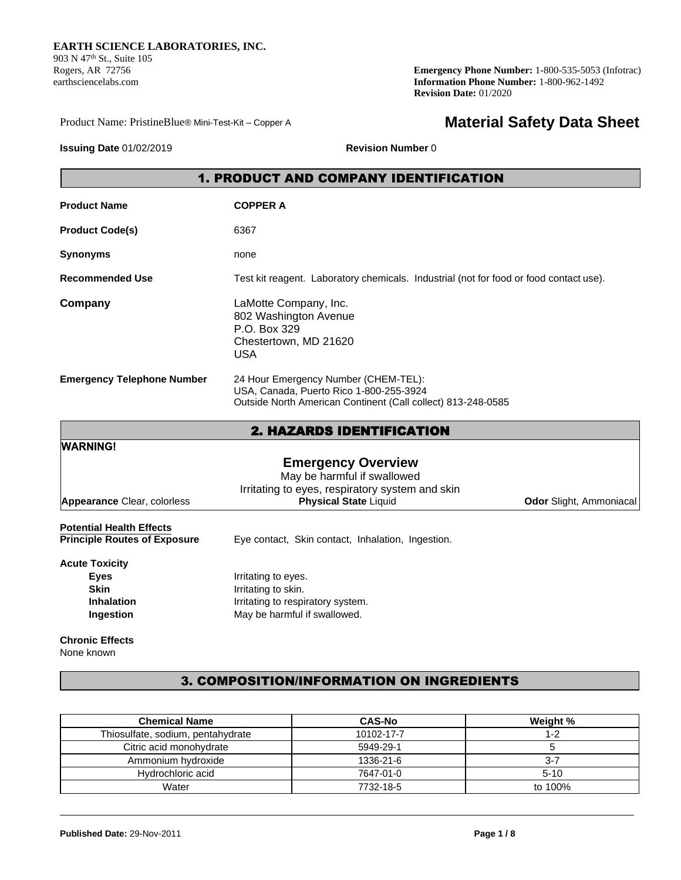903 N 47<sup>th</sup> St., Suite 105<br>Rogers, AR 72756

**Emergency Phone Number:** 1-800-535-5053 (Infotrac) earthsciencelabs.com **Information Phone Number:** 1-800-962-1492 **Revision Date:** 01/2020

Product Name: PristineBlue® Mini-Test-Kit – Copper A

# **Material Safety Data Sheet**

**Issuing Date** 01/02/2019 **Revision Number** 0

# 1. PRODUCT AND COMPANY IDENTIFICATION

| <b>Product Name</b>               | <b>COPPER A</b>                                                                                                                                 |
|-----------------------------------|-------------------------------------------------------------------------------------------------------------------------------------------------|
| <b>Product Code(s)</b>            | 6367                                                                                                                                            |
| <b>Synonyms</b>                   | none                                                                                                                                            |
| <b>Recommended Use</b>            | Test kit reagent. Laboratory chemicals. Industrial (not for food or food contact use).                                                          |
| Company                           | LaMotte Company, Inc.<br>802 Washington Avenue<br>P.O. Box 329<br>Chestertown, MD 21620<br><b>USA</b>                                           |
| <b>Emergency Telephone Number</b> | 24 Hour Emergency Number (CHEM-TEL):<br>USA, Canada, Puerto Rico 1-800-255-3924<br>Outside North American Continent (Call collect) 813-248-0585 |

|                                     | <b>2. HAZARDS IDENTIFICATION</b>                                                                            |                                |
|-------------------------------------|-------------------------------------------------------------------------------------------------------------|--------------------------------|
| <b>WARNING!</b>                     |                                                                                                             |                                |
|                                     | <b>Emergency Overview</b><br>May be harmful if swallowed<br>Irritating to eyes, respiratory system and skin |                                |
| <b>Appearance Clear, colorless</b>  | <b>Physical State Liquid</b>                                                                                | <b>Odor</b> Slight, Ammoniacal |
| <b>Potential Health Effects</b>     |                                                                                                             |                                |
| <b>Principle Routes of Exposure</b> | Eye contact, Skin contact, Inhalation, Ingestion.                                                           |                                |
| <b>Acute Toxicity</b>               |                                                                                                             |                                |
| <b>Eyes</b>                         | Irritating to eyes.                                                                                         |                                |
| <b>Skin</b>                         | Irritating to skin.                                                                                         |                                |
| <b>Inhalation</b>                   | Irritating to respiratory system.                                                                           |                                |
| Ingestion                           | May be harmful if swallowed.                                                                                |                                |

**Chronic Effects** None known

# 3. COMPOSITION/INFORMATION ON INGREDIENTS

| <b>Chemical Name</b>              | <b>CAS-No</b> | Weight % |
|-----------------------------------|---------------|----------|
| Thiosulfate, sodium, pentahydrate | 10102-17-7    | $1 - 2$  |
| Citric acid monohydrate           | 5949-29-1     |          |
| Ammonium hydroxide                | 1336-21-6     | $3 - 7$  |
| Hydrochloric acid                 | 7647-01-0     | $5-10$   |
| Water                             | 7732-18-5     | to 100%  |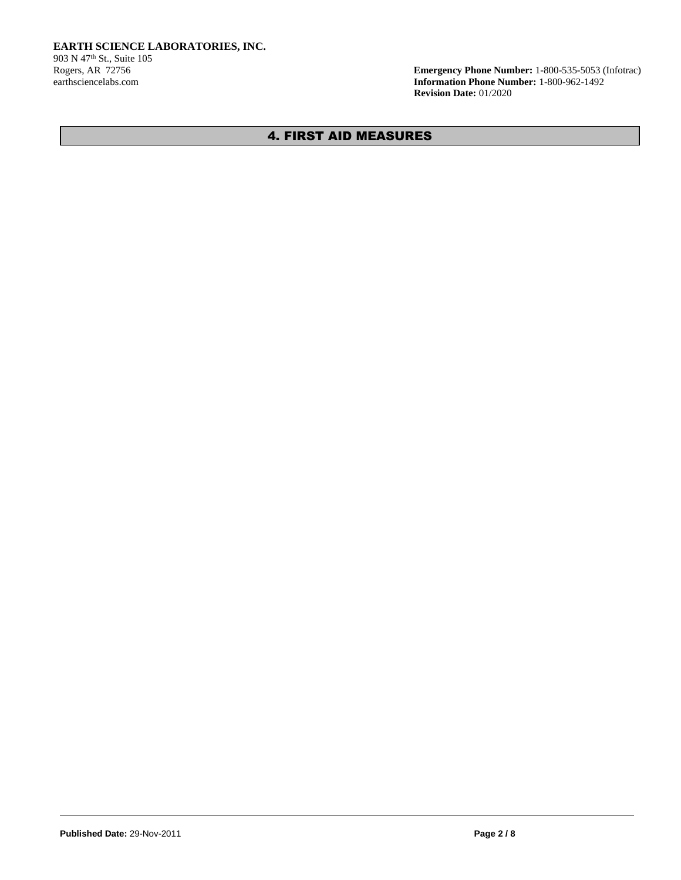Rogers, AR 72756 **Emergency Phone Number:** 1-800-535-5053 (Infotrac) **Information Phone Number:** 1-800-962-1492 **Revision Date:** 01/2020

# 4. FIRST AID MEASURES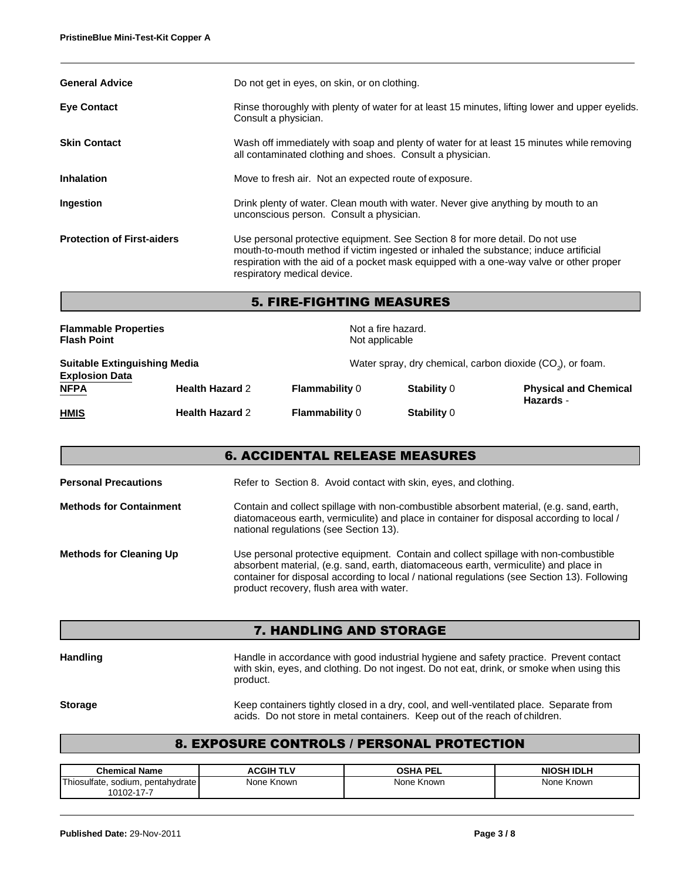| <b>General Advice</b>             | Do not get in eyes, on skin, or on clothing.                                                                                                                                                                                                                                                   |
|-----------------------------------|------------------------------------------------------------------------------------------------------------------------------------------------------------------------------------------------------------------------------------------------------------------------------------------------|
| <b>Eye Contact</b>                | Rinse thoroughly with plenty of water for at least 15 minutes, lifting lower and upper eyelids.<br>Consult a physician.                                                                                                                                                                        |
| <b>Skin Contact</b>               | Wash off immediately with soap and plenty of water for at least 15 minutes while removing<br>all contaminated clothing and shoes. Consult a physician.                                                                                                                                         |
| <b>Inhalation</b>                 | Move to fresh air. Not an expected route of exposure.                                                                                                                                                                                                                                          |
| Ingestion                         | Drink plenty of water. Clean mouth with water. Never give anything by mouth to an<br>unconscious person. Consult a physician.                                                                                                                                                                  |
| <b>Protection of First-aiders</b> | Use personal protective equipment. See Section 8 for more detail. Do not use<br>mouth-to-mouth method if victim ingested or inhaled the substance; induce artificial<br>respiration with the aid of a pocket mask equipped with a one-way valve or other proper<br>respiratory medical device. |

# 5. FIRE-FIGHTING MEASURES

| <b>Flammable Properties</b><br><b>Flash Point</b>            |                        |                       | Not a fire hazard.<br>Not applicable |                                                                        |  |
|--------------------------------------------------------------|------------------------|-----------------------|--------------------------------------|------------------------------------------------------------------------|--|
| <b>Suitable Extinguishing Media</b><br><b>Explosion Data</b> |                        |                       |                                      | Water spray, dry chemical, carbon dioxide (CO <sub>2</sub> ), or foam. |  |
| <b>NFPA</b>                                                  | <b>Health Hazard 2</b> | <b>Flammability 0</b> | Stability 0                          | <b>Physical and Chemical</b><br>Hazards -                              |  |
| <b>HMIS</b>                                                  | <b>Health Hazard 2</b> | <b>Flammability 0</b> | Stability 0                          |                                                                        |  |

| <b>6. ACCIDENTAL RELEASE MEASURES</b> |                                                                                                                                                                                                                                                                                                                          |  |
|---------------------------------------|--------------------------------------------------------------------------------------------------------------------------------------------------------------------------------------------------------------------------------------------------------------------------------------------------------------------------|--|
| <b>Personal Precautions</b>           | Refer to Section 8. Avoid contact with skin, eyes, and clothing.                                                                                                                                                                                                                                                         |  |
| <b>Methods for Containment</b>        | Contain and collect spillage with non-combustible absorbent material, (e.g. sand, earth,<br>diatomaceous earth, vermiculite) and place in container for disposal according to local /<br>national regulations (see Section 13).                                                                                          |  |
| <b>Methods for Cleaning Up</b>        | Use personal protective equipment. Contain and collect spillage with non-combustible<br>absorbent material, (e.g. sand, earth, diatomaceous earth, vermiculite) and place in<br>container for disposal according to local / national regulations (see Section 13). Following<br>product recovery, flush area with water. |  |

## 7. HANDLING AND STORAGE

Handling **Handle in accordance with good industrial hygiene and safety practice. Prevent contact** with skin, eyes, and clothing. Do not ingest. Do not eat, drink, or smoke when using this product.

Storage **Keep containers tightly closed in a dry, cool, and well-ventilated place. Separate from** acids. Do not store in metal containers. Keep out of the reach of children.

### 8. EXPOSURE CONTROLS / PERSONAL PROTECTION

| <b>Chemical Name</b>              | <b>ACGIH TLV</b> | <b>OSHA PEL</b> | NIOSH IDLH |
|-----------------------------------|------------------|-----------------|------------|
| Thiosulfate, sodium, pentahydrate | None Known       | None Known      | None Known |
| 10102-17-7                        |                  |                 |            |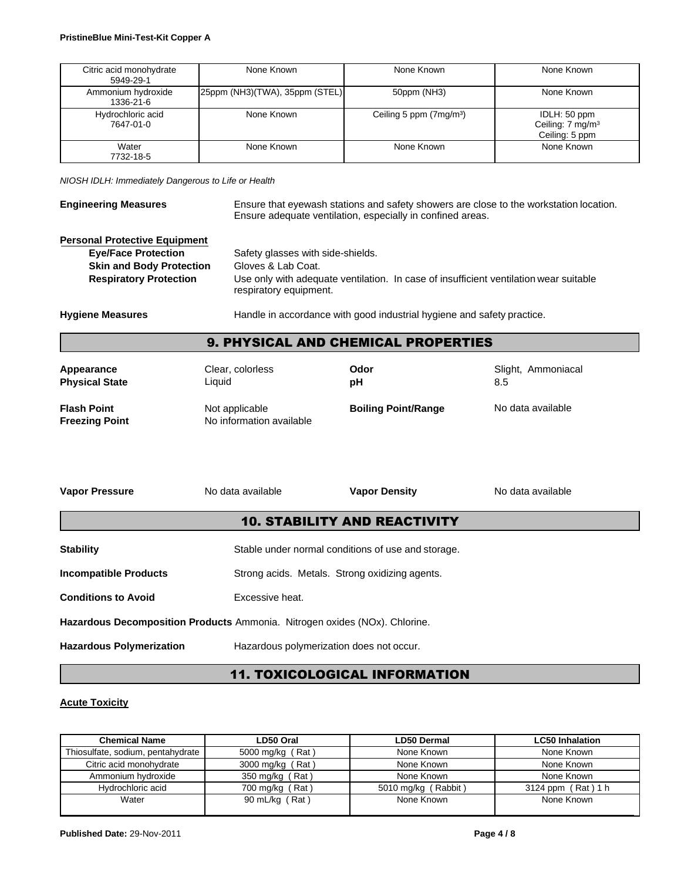| Citric acid monohydrate<br>5949-29-1 | None Known                       | None Known                          | None Known                                                     |
|--------------------------------------|----------------------------------|-------------------------------------|----------------------------------------------------------------|
| Ammonium hydroxide<br>1336-21-6      | [25ppm (NH3)(TWA), 35ppm (STEL)] | 50ppm (NH3)                         | None Known                                                     |
| Hydrochloric acid<br>7647-01-0       | None Known                       | Ceiling 5 ppm (7mg/m <sup>3</sup> ) | IDLH: 50 ppm<br>Ceiling: 7 mg/m <sup>3</sup><br>Ceiling: 5 ppm |
| Water<br>7732-18-5                   | None Known                       | None Known                          | None Known                                                     |

*NIOSH IDLH: Immediately Dangerous to Life or Health*

| <b>Engineering Measures</b>          | Ensure that eyewash stations and safety showers are close to the workstation location.<br>Ensure adequate ventilation, especially in confined areas. |
|--------------------------------------|------------------------------------------------------------------------------------------------------------------------------------------------------|
| <b>Personal Protective Equipment</b> |                                                                                                                                                      |

| <b>Eve/Face Protection</b>      | Safety glasses with side-shields.                                                                               |
|---------------------------------|-----------------------------------------------------------------------------------------------------------------|
| <b>Skin and Body Protection</b> | Gloves & Lab Coat.                                                                                              |
| <b>Respiratory Protection</b>   | Use only with adequate ventilation. In case of insufficient ventilation wear suitable<br>respiratory equipment. |

Hygiene Measures **Handle** in accordance with good industrial hygiene and safety practice.

## 9. PHYSICAL AND CHEMICAL PROPERTIES

**Appearance** Clear, colorless **Odor** Slight, Ammoniacal **Physical State** Liquid **pH** 8.5

**Flash Point** Not applicable **Freezing Point** No information available

**Boiling Point/Range** No data available

| <b>Vapor Pressure</b>                                                      | No data available | <b>Vapor Density</b>                               | No data available |
|----------------------------------------------------------------------------|-------------------|----------------------------------------------------|-------------------|
|                                                                            |                   | <b>10. STABILITY AND REACTIVITY</b>                |                   |
| <b>Stability</b>                                                           |                   | Stable under normal conditions of use and storage. |                   |
| <b>Incompatible Products</b>                                               |                   | Strong acids. Metals. Strong oxidizing agents.     |                   |
| <b>Conditions to Avoid</b>                                                 | Excessive heat.   |                                                    |                   |
| Hazardous Decomposition Products Ammonia. Nitrogen oxides (NOx). Chlorine. |                   |                                                    |                   |
| <b>Hazardous Polymerization</b>                                            |                   | Hazardous polymerization does not occur.           |                   |

# 11. TOXICOLOGICAL INFORMATION

#### **Acute Toxicity**

| <b>Chemical Name</b>              | LD50 Oral        | <b>LD50 Dermal</b>  | <b>LC50 Inhalation</b> |
|-----------------------------------|------------------|---------------------|------------------------|
| Thiosulfate, sodium, pentahydrate | 5000 mg/kg (Rat) | None Known          | None Known             |
| Citric acid monohydrate           | 3000 mg/kg (Rat) | None Known          | None Known             |
| Ammonium hydroxide                | 350 mg/kg (Rat)  | None Known          | None Known             |
| Hydrochloric acid                 | 700 mg/kg (Rat)  | 5010 mg/kg (Rabbit) | 3124 ppm (Rat) 1 h     |
| Water                             | 90 mL/kg (Rat)   | None Known          | None Known             |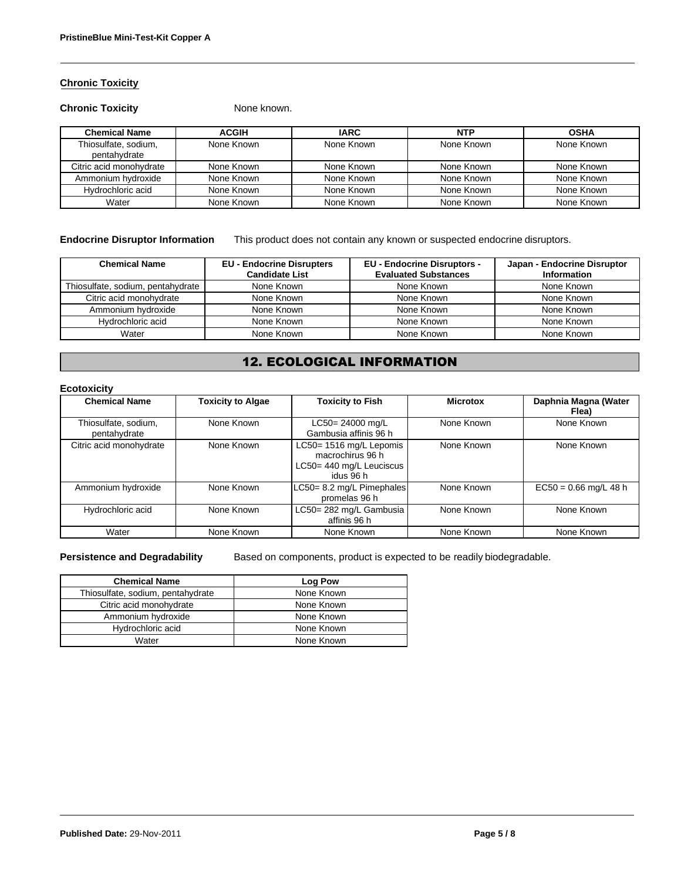### **Chronic Toxicity**

#### **Chronic Toxicity** None known.

| <b>Chemical Name</b>                 | <b>ACGIH</b> | <b>IARC</b> | <b>NTP</b> | <b>OSHA</b> |
|--------------------------------------|--------------|-------------|------------|-------------|
| Thiosulfate, sodium,<br>pentahydrate | None Known   | None Known  | None Known | None Known  |
| Citric acid monohydrate              | None Known   | None Known  | None Known | None Known  |
| Ammonium hydroxide                   | None Known   | None Known  | None Known | None Known  |
| Hydrochloric acid                    | None Known   | None Known  | None Known | None Known  |
| Water                                | None Known   | None Known  | None Known | None Known  |

**Endocrine Disruptor Information** This product does not contain any known or suspected endocrine disruptors.

| <b>Chemical Name</b>              | <b>EU - Endocrine Disrupters</b><br><b>Candidate List</b> | <b>EU - Endocrine Disruptors -</b><br><b>Evaluated Substances</b> | Japan - Endocrine Disruptor<br>Information |
|-----------------------------------|-----------------------------------------------------------|-------------------------------------------------------------------|--------------------------------------------|
| Thiosulfate, sodium, pentahydrate | None Known                                                | None Known                                                        | None Known                                 |
| Citric acid monohydrate           | None Known                                                | None Known                                                        | None Known                                 |
| Ammonium hydroxide                | None Known                                                | None Known                                                        | None Known                                 |
| Hydrochloric acid                 | None Known                                                | None Known                                                        | None Known                                 |
| Water                             | None Known                                                | None Known                                                        | None Known                                 |

# 12. ECOLOGICAL INFORMATION

### **Ecotoxicity**

| <b>Chemical Name</b>                 | <b>Toxicity to Algae</b> | <b>Toxicity to Fish</b>                                                              | <b>Microtox</b> | Daphnia Magna (Water<br>Flea) |
|--------------------------------------|--------------------------|--------------------------------------------------------------------------------------|-----------------|-------------------------------|
| Thiosulfate, sodium,<br>pentahydrate | None Known               | LC50= 24000 mg/L<br>Gambusia affinis 96 h                                            | None Known      | None Known                    |
| Citric acid monohydrate              | None Known               | LC50= 1516 mg/L Lepomis<br>macrochirus 96 h<br>LC50= 440 mg/L Leuciscus<br>idus 96 h | None Known      | None Known                    |
| Ammonium hydroxide                   | None Known               | LC50= 8.2 mg/L Pimephales<br>promelas 96 h                                           | None Known      | $EC50 = 0.66$ mg/L 48 h       |
| Hydrochloric acid                    | None Known               | LC50= 282 mg/L Gambusia<br>affinis 96 h                                              | None Known      | None Known                    |
| Water                                | None Known               | None Known                                                                           | None Known      | None Known                    |

**Persistence and Degradability** Based on components, product is expected to be readily biodegradable.

| <b>Chemical Name</b>              | Log Pow    |
|-----------------------------------|------------|
| Thiosulfate, sodium, pentahydrate | None Known |
| Citric acid monohydrate           | None Known |
| Ammonium hydroxide                | None Known |
| Hydrochloric acid                 | None Known |
| Water                             | None Known |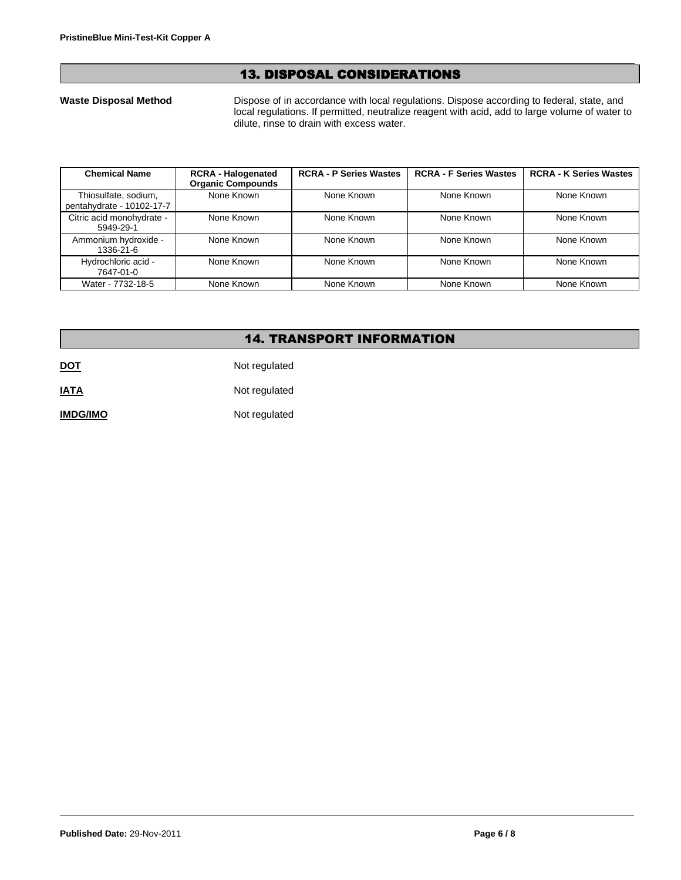## 13. DISPOSAL CONSIDERATIONS

Waste Disposal Method Dispose of in accordance with local regulations. Dispose according to federal, state, and local regulations. If permitted, neutralize reagent with acid, add to large volume of water to dilute, rinse to drain with excess water.

| <b>Chemical Name</b>                              | <b>RCRA - Halogenated</b><br><b>Organic Compounds</b> | <b>RCRA - P Series Wastes</b> | <b>RCRA - F Series Wastes</b> | <b>RCRA - K Series Wastes</b> |
|---------------------------------------------------|-------------------------------------------------------|-------------------------------|-------------------------------|-------------------------------|
| Thiosulfate, sodium,<br>pentahydrate - 10102-17-7 | None Known                                            | None Known                    | None Known                    | None Known                    |
| Citric acid monohydrate -<br>5949-29-1            | None Known                                            | None Known                    | None Known                    | None Known                    |
| Ammonium hydroxide -<br>1336-21-6                 | None Known                                            | None Known                    | None Known                    | None Known                    |
| Hydrochloric acid -<br>7647-01-0                  | None Known                                            | None Known                    | None Known                    | None Known                    |
| Water - 7732-18-5                                 | None Known                                            | None Known                    | None Known                    | None Known                    |

## 14. TRANSPORT INFORMATION

**DOT** Not regulated

**IATA** Not regulated

**IMDG/IMO** Not regulated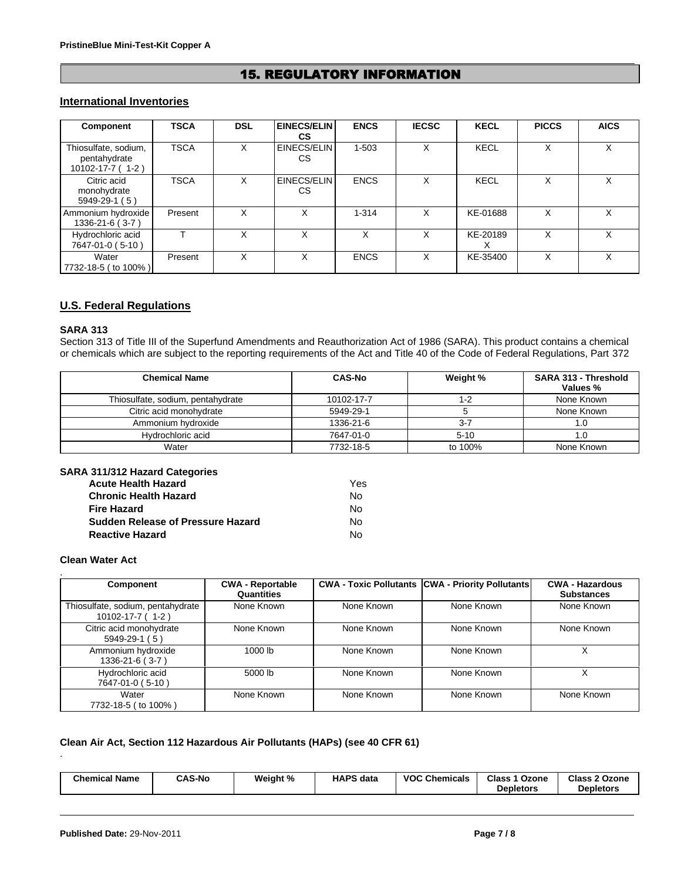# 15. REGULATORY INFORMATION

## **International Inventories**

| Component                                                       | <b>TSCA</b> | <b>DSL</b> | <b>EINECS/ELIN</b><br><b>CS</b> | <b>ENCS</b> | <b>IECSC</b> | <b>KECL</b> | <b>PICCS</b> | <b>AICS</b> |
|-----------------------------------------------------------------|-------------|------------|---------------------------------|-------------|--------------|-------------|--------------|-------------|
| Thiosulfate, sodium,<br>pentahydrate<br>$10102 - 17 - 7(1 - 2)$ | <b>TSCA</b> | x          | EINECS/ELIN<br>CS               | 1-503       | x            | <b>KECL</b> | x            | X           |
| Citric acid<br>monohydrate<br>$5949-29-1(5)$                    | <b>TSCA</b> | X          | EINECS/ELIN<br>CS               | <b>ENCS</b> | x            | <b>KECL</b> | X            | X           |
| Ammonium hydroxide<br>$1336 - 21 - 6(3 - 7)$                    | Present     | x          | x                               | $1 - 314$   | x            | KE-01688    | X            | х           |
| Hydrochloric acid<br>7647-01-0 (5-10)                           |             | X          | x                               | X           | X            | KE-20189    | X            | X           |
| Water<br>7732-18-5 (to 100%)                                    | Present     | x          |                                 | <b>ENCS</b> | x            | KE-35400    | x            | x           |

## **U.S. Federal Regulations**

### **SARA 313**

Section 313 of Title III of the Superfund Amendments and Reauthorization Act of 1986 (SARA). This product contains a chemical or chemicals which are subject to the reporting requirements of the Act and Title 40 of the Code of Federal Regulations, Part 372

| <b>Chemical Name</b>              | <b>CAS-No</b> | Weight % | SARA 313 - Threshold<br>Values % |
|-----------------------------------|---------------|----------|----------------------------------|
| Thiosulfate, sodium, pentahydrate | 10102-17-7    | 1-2      | None Known                       |
| Citric acid monohydrate           | 5949-29-1     |          | None Known                       |
| Ammonium hydroxide                | 1336-21-6     | $3 - 7$  |                                  |
| Hydrochloric acid                 | 7647-01-0     | $5 - 10$ |                                  |
| Water                             | 7732-18-5     | to 100%  | None Known                       |

#### **SARA 311/312 Hazard Categories**

| <b>Acute Health Hazard</b>               | Yes |
|------------------------------------------|-----|
| <b>Chronic Health Hazard</b>             | N٥  |
| <b>Fire Hazard</b>                       | N٥  |
| <b>Sudden Release of Pressure Hazard</b> | N٥  |
| <b>Reactive Hazard</b>                   | N٥  |

#### **Clean Water Act**

| <b>Component</b>                                            | <b>CWA - Reportable</b><br>Quantities |            | <b>CWA - Toxic Pollutants CWA - Priority Pollutants</b> | <b>CWA - Hazardous</b><br><b>Substances</b> |
|-------------------------------------------------------------|---------------------------------------|------------|---------------------------------------------------------|---------------------------------------------|
| Thiosulfate, sodium, pentahydrate<br>$10102 - 17 - 7$ (1-2) | None Known                            | None Known | None Known                                              | None Known                                  |
| Citric acid monohydrate<br>$5949-29-1(5)$                   | None Known                            | None Known | None Known                                              | None Known                                  |
| Ammonium hydroxide<br>$1336 - 21 - 6$ (3-7)                 | 1000 lb                               | None Known | None Known                                              |                                             |
| Hydrochloric acid<br>7647-01-0 (5-10)                       | 5000 lb                               | None Known | None Known                                              | Χ                                           |
| Water<br>7732-18-5 ( to 100% )                              | None Known                            | None Known | None Known                                              | None Known                                  |

## **Clean Air Act, Section 112 Hazardous Air Pollutants (HAPs) (see 40 CFR 61)**

| <b>Chemical Name</b><br><b>CAS-No</b><br><b>Class</b><br>Weight %<br><b>HAPS</b><br><b>VOC</b><br><b>Class</b><br><b>Chemicals</b><br>Ozone<br>∘2 Ozone<br>data<br><b>Depletors</b><br>Depletors |
|--------------------------------------------------------------------------------------------------------------------------------------------------------------------------------------------------|
|--------------------------------------------------------------------------------------------------------------------------------------------------------------------------------------------------|

.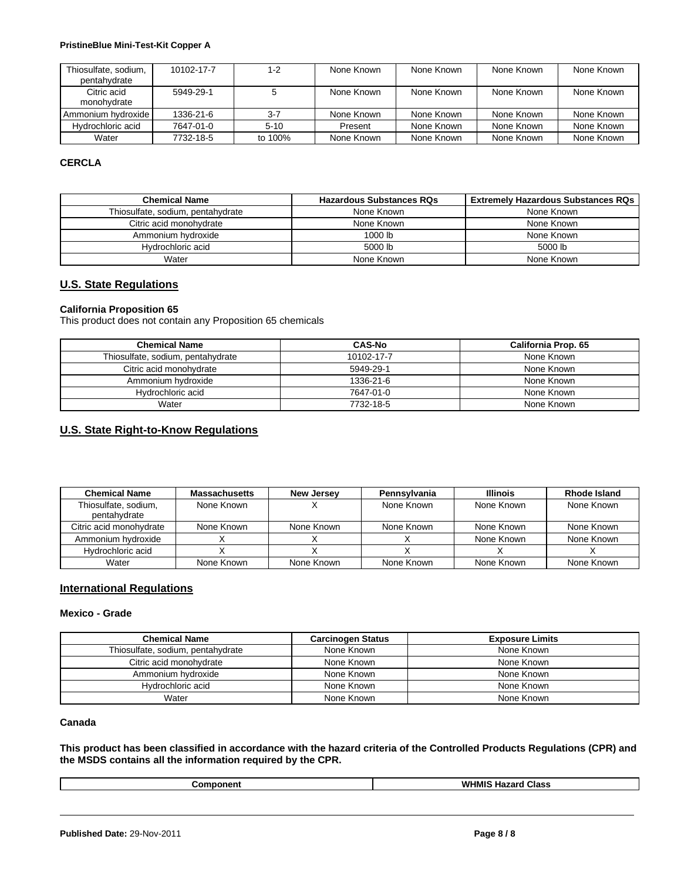#### **PristineBlue Mini-Test-Kit Copper A**

| Thiosulfate, sodium,<br>pentahydrate | 10102-17-7 | 1-2      | None Known | None Known | None Known | None Known |
|--------------------------------------|------------|----------|------------|------------|------------|------------|
| Citric acid<br>monohydrate           | 5949-29-1  |          | None Known | None Known | None Known | None Known |
| Ammonium hydroxide                   | 1336-21-6  | $3 - 7$  | None Known | None Known | None Known | None Known |
| Hydrochloric acid                    | 7647-01-0  | $5 - 10$ | Present    | None Known | None Known | None Known |
| Water                                | 7732-18-5  | to 100%  | None Known | None Known | None Known | None Known |

## **CERCLA**

| <b>Chemical Name</b>              | <b>Hazardous Substances RQs</b> | <b>Extremely Hazardous Substances RQs</b> |
|-----------------------------------|---------------------------------|-------------------------------------------|
| Thiosulfate, sodium, pentahydrate | None Known                      | None Known                                |
| Citric acid monohydrate           | None Known                      | None Known                                |
| Ammonium hydroxide                | $1000$ lb                       | None Known                                |
| Hydrochloric acid                 | 5000 lb                         | 5000 lb                                   |
| Water                             | None Known                      | None Known                                |

#### **U.S. State Regulations**

#### **California Proposition 65**

This product does not contain any Proposition 65 chemicals

| <b>Chemical Name</b>              | <b>CAS-No</b> | <b>California Prop. 65</b> |
|-----------------------------------|---------------|----------------------------|
| Thiosulfate, sodium, pentahydrate | 10102-17-7    | None Known                 |
| Citric acid monohydrate           | 5949-29-1     | None Known                 |
| Ammonium hydroxide                | 1336-21-6     | None Known                 |
| Hydrochloric acid                 | 7647-01-0     | None Known                 |
| Water                             | 7732-18-5     | None Known                 |

# **U.S. State Right-to-Know Regulations**

| <b>Chemical Name</b>                 | <b>Massachusetts</b> | <b>New Jersey</b> | Pennsylvania | <b>Illinois</b> | <b>Rhode Island</b> |
|--------------------------------------|----------------------|-------------------|--------------|-----------------|---------------------|
| Thiosulfate, sodium,<br>pentahydrate | None Known           |                   | None Known   | None Known      | None Known          |
| Citric acid monohvdrate              | None Known           | None Known        | None Known   | None Known      | None Known          |
| Ammonium hydroxide                   |                      |                   |              | None Known      | None Known          |
| Hydrochloric acid                    |                      |                   |              |                 |                     |
| Water                                | None Known           | None Known        | None Known   | None Known      | None Known          |

#### **International Regulations**

#### **Mexico - Grade**

| <b>Chemical Name</b>              | <b>Carcinogen Status</b> | <b>Exposure Limits</b> |
|-----------------------------------|--------------------------|------------------------|
| Thiosulfate, sodium, pentahydrate | None Known               | None Known             |
| Citric acid monohydrate           | None Known               | None Known             |
| Ammonium hydroxide                | None Known               | None Known             |
| Hydrochloric acid                 | None Known               | None Known             |
| Water                             | None Known               | None Known             |

## **Canada**

**This product has been classified in accordance with the hazard criteria of the Controlled Products Regulations (CPR) and the MSDS contains all the information required by the CPR.**

| $ -$   | <b>WHMIS</b> |
|--------|--------------|
| nm     | ' Class      |
| …none∙ | nazaru       |
|        |              |